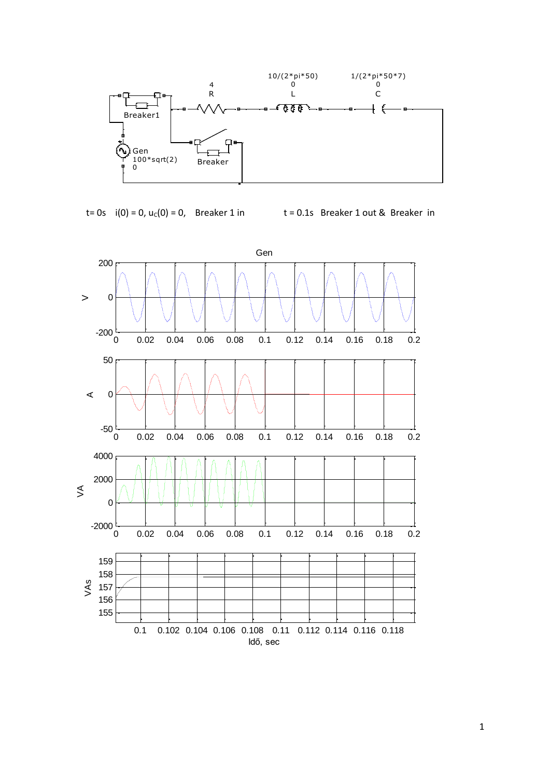



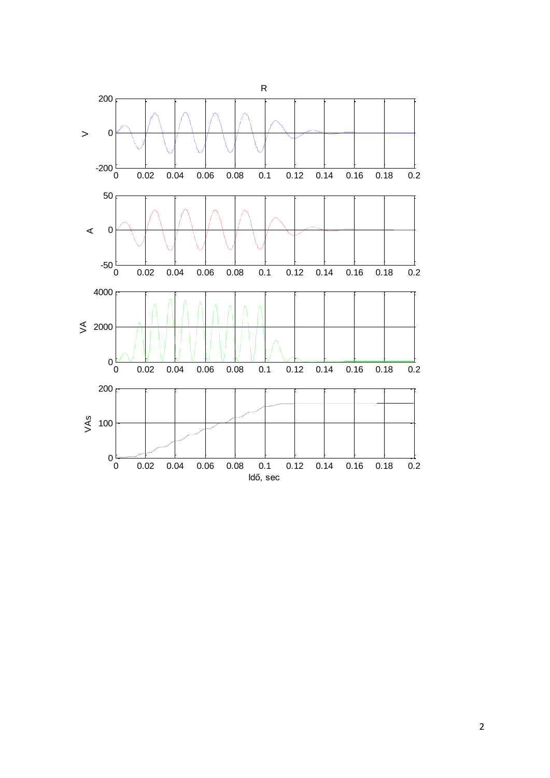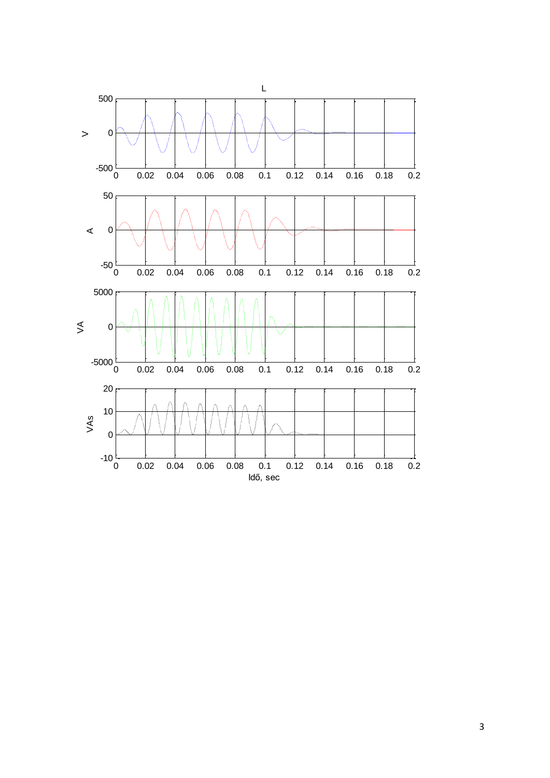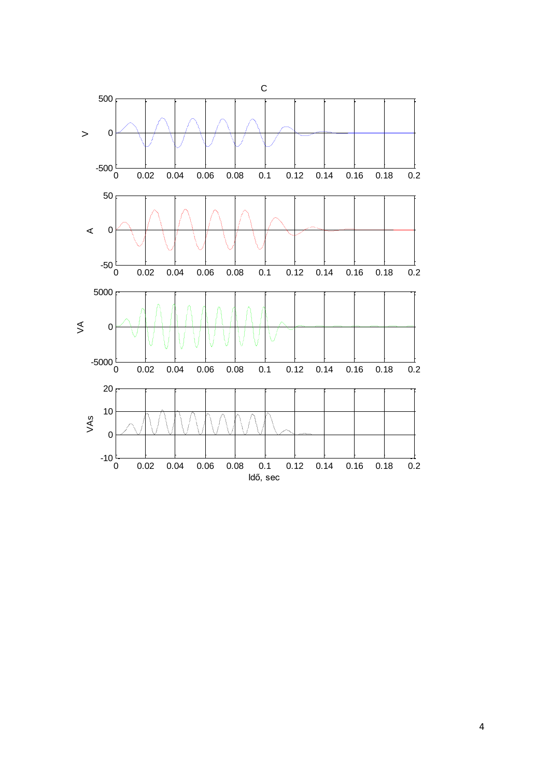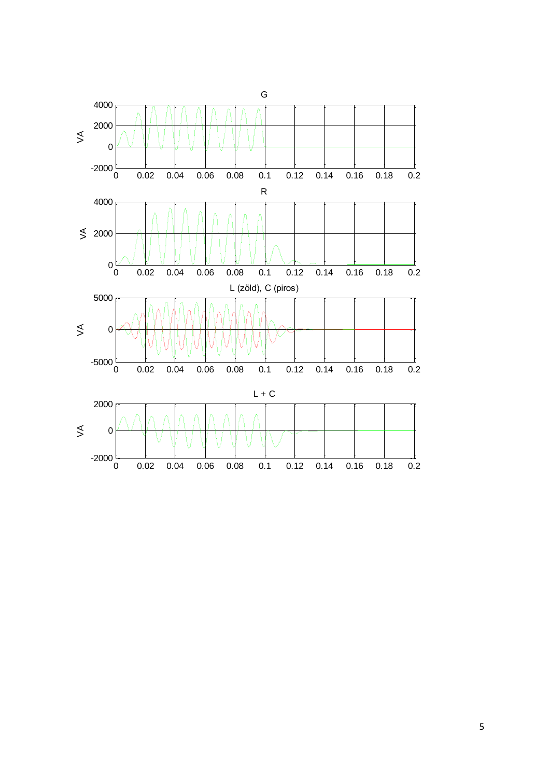